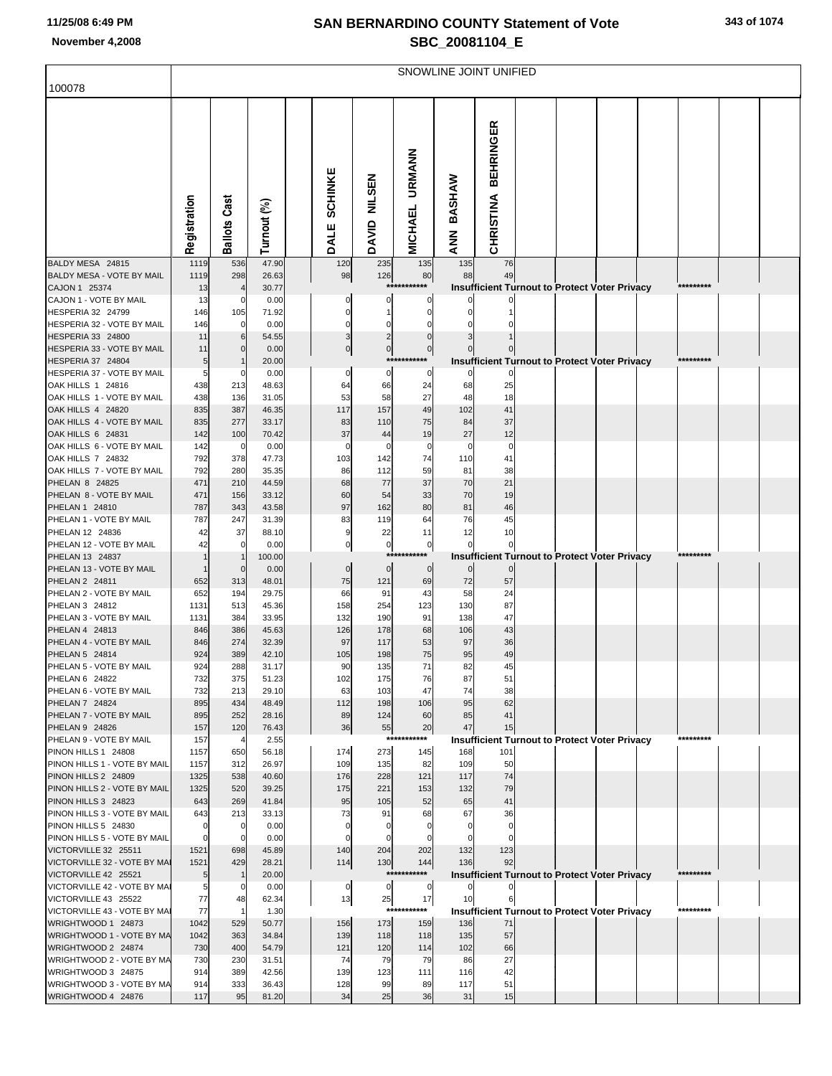## **SAN BERNARDINO COUNTY Statement of Vote November 4,2008 SBC\_20081104\_E**

|  | 343 of 1074 |
|--|-------------|
|  |             |

|                                                     | SNOWLINE JOINT UNIFIED |                                  |                |  |                               |                             |                                 |                              |                                                            |  |  |  |           |  |
|-----------------------------------------------------|------------------------|----------------------------------|----------------|--|-------------------------------|-----------------------------|---------------------------------|------------------------------|------------------------------------------------------------|--|--|--|-----------|--|
| 100078                                              |                        |                                  |                |  |                               |                             |                                 |                              |                                                            |  |  |  |           |  |
|                                                     | Registration           | <b>Ballots Cast</b>              | Turnout (%)    |  | <b>SCHINKE</b><br><b>DALE</b> | <b>NILSEN</b><br>DAVID      | <b>URMANN</b><br><b>MICHAEL</b> | <b>BASHAW</b><br><b>ZANA</b> | <b>BEHRINGER</b><br><b>CHRISTINA</b>                       |  |  |  |           |  |
| BALDY MESA 24815<br>BALDY MESA - VOTE BY MAIL       | 1119<br>1119           | 536<br>298                       | 47.90<br>26.63 |  | 120<br>98                     | 235<br>126                  | 135<br>80                       | 135<br>88                    | 76<br>49                                                   |  |  |  |           |  |
| CAJON 1 25374                                       | 13                     |                                  | 30.77          |  |                               |                             | ******                          |                              | <b>Insufficient Turnout to Protect Voter Privacy</b>       |  |  |  | ********* |  |
| CAJON 1 - VOTE BY MAIL                              | 13                     | $\mathbf{0}$                     | 0.00           |  |                               | 0                           |                                 |                              |                                                            |  |  |  |           |  |
| HESPERIA 32 24799                                   | 146                    | 105                              | 71.92          |  | 0                             |                             | 0                               |                              |                                                            |  |  |  |           |  |
| HESPERIA 32 - VOTE BY MAIL                          | 146                    | 0                                | 0.00           |  |                               | 0                           |                                 |                              |                                                            |  |  |  |           |  |
| HESPERIA 33 24800<br>HESPERIA 33 - VOTE BY MAIL     | 11<br>11               | 6<br>$\mathbf 0$                 | 54.55          |  | 3<br>$\overline{0}$           | $\overline{2}$<br>$\pmb{0}$ | $\Omega$<br>$\mathbf 0$         |                              |                                                            |  |  |  |           |  |
| HESPERIA 37 24804                                   | 5                      |                                  | 0.00<br>20.00  |  |                               |                             | ******                          |                              | <b>Insufficient Turnout to Protect Voter Privacy</b>       |  |  |  | ********* |  |
| HESPERIA 37 - VOTE BY MAIL                          | 5                      | 0                                | 0.00           |  | 0                             | 0                           | 0                               | 0                            |                                                            |  |  |  |           |  |
| OAK HILLS 1 24816                                   | 438                    | 213                              | 48.63          |  | 64                            | 66                          | 24                              | 68                           | 25                                                         |  |  |  |           |  |
| OAK HILLS 1 - VOTE BY MAIL                          | 438                    | 136                              | 31.05          |  | 53                            | 58                          | 27                              | 48                           | 18                                                         |  |  |  |           |  |
| OAK HILLS 4 24820                                   | 835                    | 387                              | 46.35          |  | 117                           | 157                         | 49                              | 102                          | 41                                                         |  |  |  |           |  |
| OAK HILLS 4 - VOTE BY MAIL                          | 835                    | 277                              | 33.17          |  | 83                            | 110                         | 75                              | 84                           | 37                                                         |  |  |  |           |  |
| OAK HILLS 6 24831<br>OAK HILLS 6 - VOTE BY MAIL     | 142<br>142             | 100<br>0                         | 70.42<br>0.00  |  | 37<br>0                       | 44<br>0                     | 19<br>0                         | 27<br>0                      | 12<br>$\mathbf 0$                                          |  |  |  |           |  |
| OAK HILLS 7 24832                                   | 792                    | 378                              | 47.73          |  | 103                           | 142                         | 74                              | 110                          | 41                                                         |  |  |  |           |  |
| OAK HILLS 7 - VOTE BY MAIL                          | 792                    | 280                              | 35.35          |  | 86                            | 112                         | 59                              | 81                           | 38                                                         |  |  |  |           |  |
| PHELAN 8 24825                                      | 471                    | 210                              | 44.59          |  | 68                            | 77                          | 37                              | 70                           | 21                                                         |  |  |  |           |  |
| PHELAN 8 - VOTE BY MAIL                             | 471                    | 156                              | 33.12          |  | 60                            | 54                          | 33                              | 70                           | 19                                                         |  |  |  |           |  |
| PHELAN 1 24810                                      | 787                    | 343                              | 43.58          |  | 97                            | 162                         | 80                              | 81                           | 46                                                         |  |  |  |           |  |
| PHELAN 1 - VOTE BY MAIL<br>PHELAN 12 24836          | 787<br>42              | 247<br>37                        | 31.39<br>88.10 |  | 83<br>$\boldsymbol{9}$        | 119<br>22                   | 64<br>11                        | 76<br>12                     | 45<br>10                                                   |  |  |  |           |  |
| PHELAN 12 - VOTE BY MAIL                            | 42                     | 0                                | 0.00           |  | $\pmb{0}$                     | $\pmb{0}$                   | $\pmb{0}$                       |                              | 0                                                          |  |  |  |           |  |
| PHELAN 13 24837                                     |                        |                                  | 100.00         |  |                               | $***$                       |                                 |                              | <b>Insufficient Turnout to Protect Voter Privacy</b>       |  |  |  |           |  |
| PHELAN 13 - VOTE BY MAIL                            |                        | $\mathbf 0$                      | 0.00           |  | $\mathbf 0$                   | 0                           | $\mathbf 0$                     | $\mathbf{0}$                 | $\mathbf 0$                                                |  |  |  |           |  |
| PHELAN 2 24811                                      | 652                    | 313                              | 48.01          |  | 75                            | 121                         | 69                              | 72                           | 57                                                         |  |  |  |           |  |
| PHELAN 2 - VOTE BY MAIL<br>PHELAN 3 24812           | 652<br>1131            | 194                              | 29.75          |  | 66<br>158                     | 91<br>254                   | 43                              | 58<br>130                    | 24<br>87                                                   |  |  |  |           |  |
| PHELAN 3 - VOTE BY MAIL                             | 1131                   | 513<br>384                       | 45.36<br>33.95 |  | 132                           | 190                         | 123<br>91                       | 138                          | 47                                                         |  |  |  |           |  |
| PHELAN 4 24813                                      | 846                    | 386                              | 45.63          |  | 126                           | 178                         | 68                              | 106                          | 43                                                         |  |  |  |           |  |
| PHELAN 4 - VOTE BY MAIL                             | 846                    | 274                              | 32.39          |  | 97                            | 117                         | 53                              | 97                           | 36                                                         |  |  |  |           |  |
| PHELAN 5 24814                                      | 924                    | 389                              | 42.10          |  | 105                           | 198                         | 75                              | 95                           | 49                                                         |  |  |  |           |  |
| PHELAN 5 - VOTE BY MAIL                             | 924                    | 288                              | 31.17          |  | 90                            | 135                         | 71                              | 82                           | 45                                                         |  |  |  |           |  |
| PHELAN 6 24822<br>PHELAN 6 - VOTE BY MAIL           | 732<br>732             | 375<br>213                       | 51.23<br>29.10 |  | 102<br>63                     | 175<br>103                  | 76<br>47                        | 87<br>74                     | 51<br>38                                                   |  |  |  |           |  |
| PHELAN 7 24824                                      | 895                    | 434                              | 48.49          |  | 112                           | 198                         | 106                             | 95                           | 62                                                         |  |  |  |           |  |
| PHELAN 7 - VOTE BY MAIL                             | 895                    | 252                              | 28.16          |  | 89                            | 124                         | 60                              | 85                           | 41                                                         |  |  |  |           |  |
| PHELAN 9 24826                                      | 157                    | 120                              | 76.43          |  | 36                            | 55                          | 20                              | 47                           | 15                                                         |  |  |  |           |  |
| PHELAN 9 - VOTE BY MAIL                             | 157                    | 4                                | 2.55           |  |                               |                             | ***********                     |                              | <b>Insufficient Turnout to Protect Voter Privacy</b>       |  |  |  | ********* |  |
| PINON HILLS 1 24808<br>PINON HILLS 1 - VOTE BY MAIL | 1157<br>1157           | 650<br>312                       | 56.18<br>26.97 |  | 174<br>109                    | 273<br>135                  | 145<br>82                       | 168<br>109                   | 101<br>50                                                  |  |  |  |           |  |
| PINON HILLS 2 24809                                 | 1325                   | 538                              | 40.60          |  | 176                           | 228                         | 121                             | 117                          | 74                                                         |  |  |  |           |  |
| PINON HILLS 2 - VOTE BY MAIL                        | 1325                   | 520                              | 39.25          |  | 175                           | 221                         | 153                             | 132                          | 79                                                         |  |  |  |           |  |
| PINON HILLS 3 24823                                 | 643                    | 269                              | 41.84          |  | 95                            | 105                         | 52                              | 65                           | 41                                                         |  |  |  |           |  |
| PINON HILLS 3 - VOTE BY MAIL                        | 643                    | 213                              | 33.13          |  | 73                            | 91                          | 68                              | 67                           | 36                                                         |  |  |  |           |  |
| PINON HILLS 5 24830<br>PINON HILLS 5 - VOTE BY MAIL | 0<br>$\mathbf 0$       | $\overline{0}$<br>$\overline{0}$ | 0.00<br>0.00   |  | $\mathbf 0$<br>$\mathbf 0$    | $\mathbf 0$<br>$\mathbf 0$  | $\Omega$<br>$\Omega$            | $\mathbf 0$                  | $\mathbf 0$<br>$\Omega$                                    |  |  |  |           |  |
| VICTORVILLE 32 25511                                | 1521                   | 698                              | 45.89          |  | 140                           | 204                         | 202                             | 132                          | 123                                                        |  |  |  |           |  |
| VICTORVILLE 32 - VOTE BY MAI                        | 1521                   | 429                              | 28.21          |  | 114                           | 130                         | 144                             | 136                          | 92                                                         |  |  |  |           |  |
| VICTORVILLE 42 25521                                | 5                      | -1                               | 20.00          |  |                               | ***                         | *******                         |                              | <b>Insufficient Turnout to Protect Voter Privacy</b>       |  |  |  | ********* |  |
| VICTORVILLE 42 - VOTE BY MAI                        | 5                      | $\overline{0}$                   | 0.00           |  | 0                             | $\overline{0}$              | $\mathbf 0$                     | $\overline{0}$               | $\overline{0}$                                             |  |  |  |           |  |
| VICTORVILLE 43 25522                                | 77<br>77               | 48                               | 62.34          |  | 13                            | 25<br>****                  | 17<br>*******                   | 10                           | 6                                                          |  |  |  | ********* |  |
| VICTORVILLE 43 - VOTE BY MAI<br>WRIGHTWOOD 1 24873  | 1042                   | $\overline{1}$<br>529            | 1.30<br>50.77  |  | 156                           | 173                         | 159                             | 136                          | <b>Insufficient Turnout to Protect Voter Privacy</b><br>71 |  |  |  |           |  |
| WRIGHTWOOD 1 - VOTE BY MA                           | 1042                   | 363                              | 34.84          |  | 139                           | 118                         | 118                             | 135                          | 57                                                         |  |  |  |           |  |
| WRIGHTWOOD 2 24874                                  | 730                    | 400                              | 54.79          |  | 121                           | 120                         | 114                             | 102                          | 66                                                         |  |  |  |           |  |
| WRIGHTWOOD 2 - VOTE BY MA                           | 730                    | 230                              | 31.51          |  | 74                            | 79                          | 79                              | 86                           | 27                                                         |  |  |  |           |  |
| WRIGHTWOOD 3 24875                                  | 914                    | 389                              | 42.56          |  | 139                           | 123                         | 111                             | 116                          | 42                                                         |  |  |  |           |  |
| WRIGHTWOOD 3 - VOTE BY MA<br>WRIGHTWOOD 4 24876     | 914<br>117             | 333<br>95                        | 36.43<br>81.20 |  | 128<br>34                     | 99<br>25                    | 89<br>36                        | 117<br>31                    | 51<br>15                                                   |  |  |  |           |  |
|                                                     |                        |                                  |                |  |                               |                             |                                 |                              |                                                            |  |  |  |           |  |